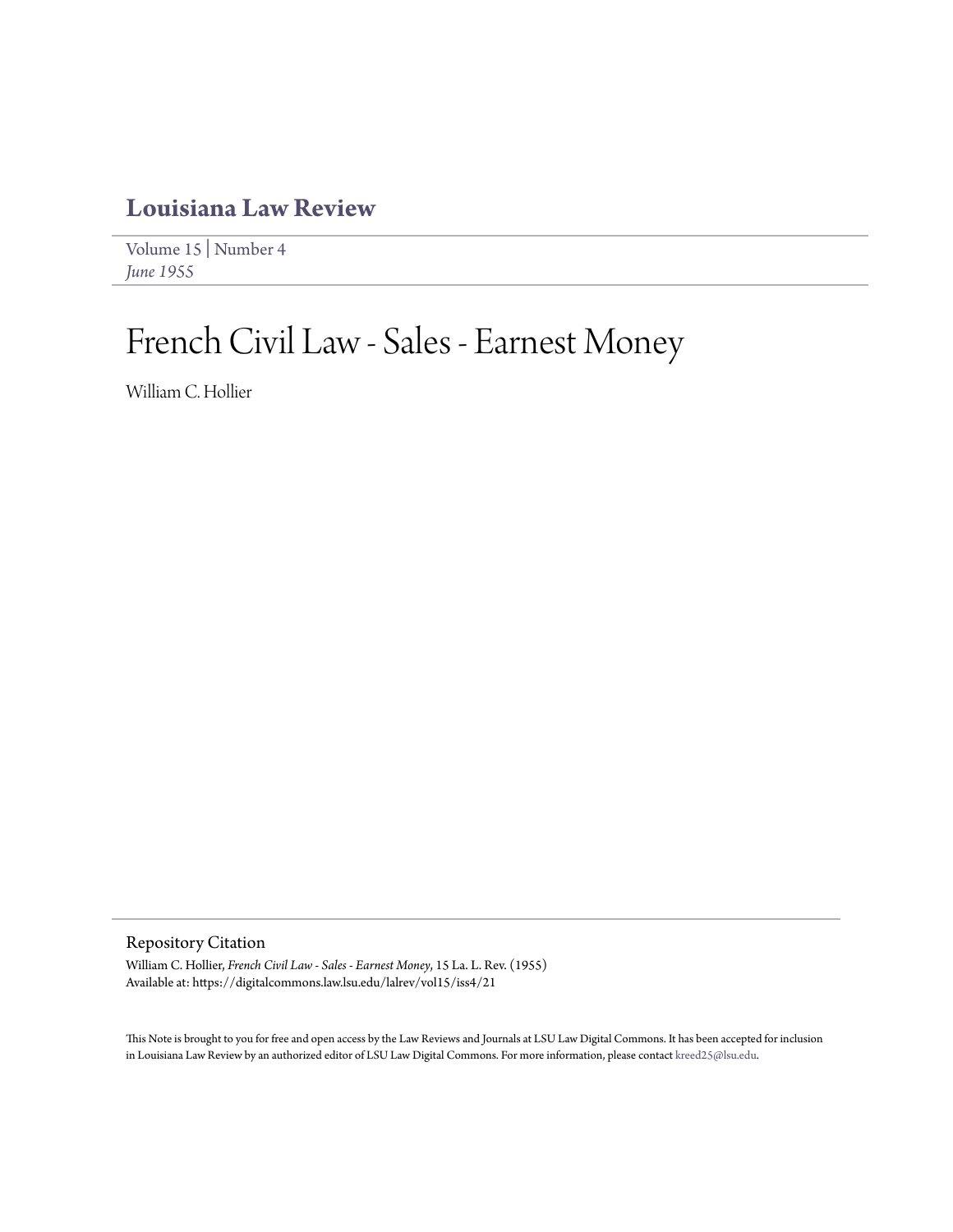## **[Louisiana Law Review](https://digitalcommons.law.lsu.edu/lalrev)**

[Volume 15](https://digitalcommons.law.lsu.edu/lalrev/vol15) | [Number 4](https://digitalcommons.law.lsu.edu/lalrev/vol15/iss4) *[June 1955](https://digitalcommons.law.lsu.edu/lalrev/vol15/iss4)*

# French Civil Law - Sales - Earnest Money

William C. Hollier

Repository Citation

William C. Hollier, *French Civil Law - Sales - Earnest Money*, 15 La. L. Rev. (1955) Available at: https://digitalcommons.law.lsu.edu/lalrev/vol15/iss4/21

This Note is brought to you for free and open access by the Law Reviews and Journals at LSU Law Digital Commons. It has been accepted for inclusion in Louisiana Law Review by an authorized editor of LSU Law Digital Commons. For more information, please contact [kreed25@lsu.edu](mailto:kreed25@lsu.edu).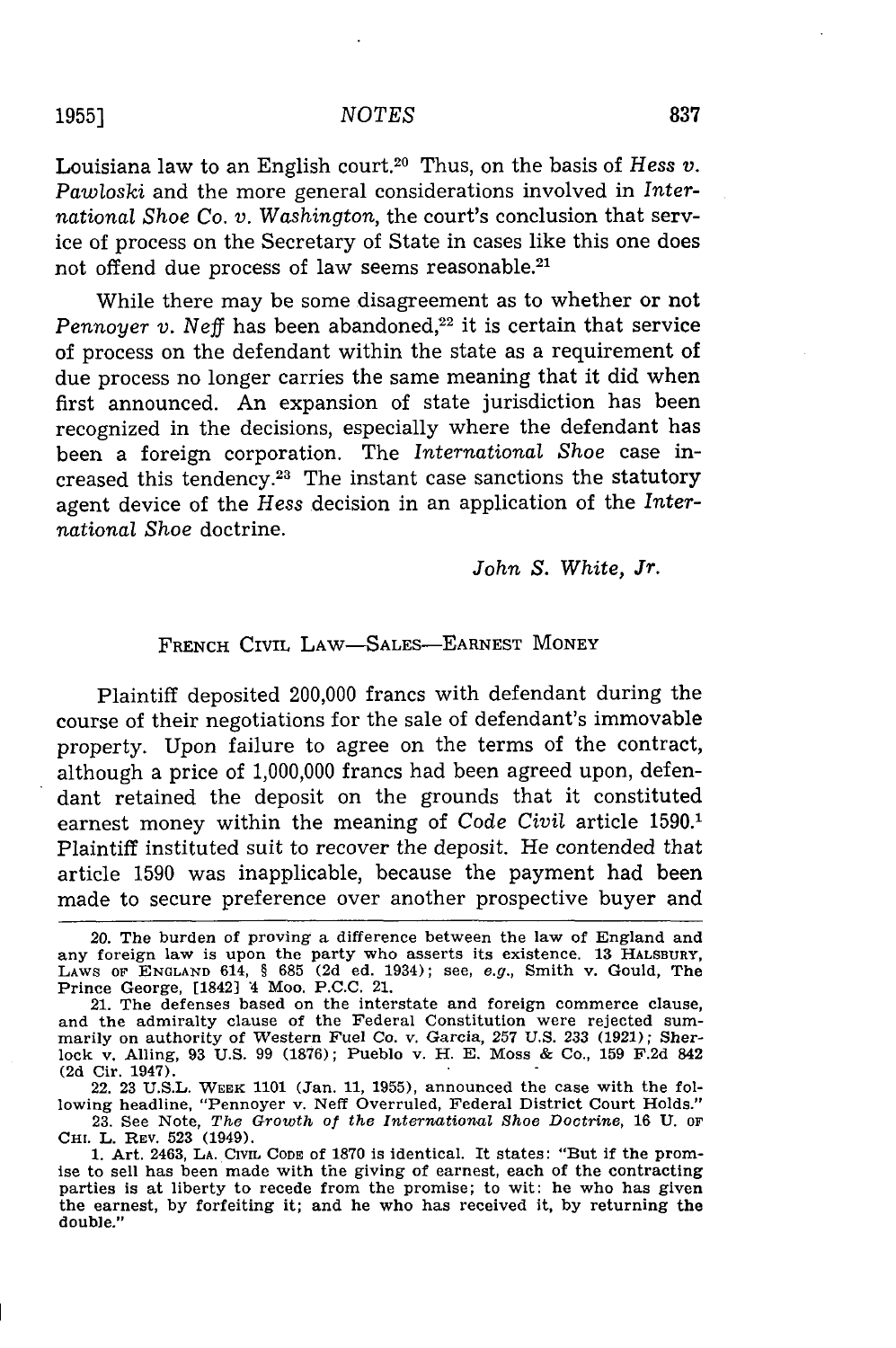Louisiana law to an English court.20 Thus, on the basis of *Hess v. Pawloski* and the more general considerations involved in International *Shoe Co. v.* Washington, the court's conclusion that service of process on the Secretary of State in cases like this one does not offend due process of law seems reasonable.<sup>21</sup>

While there may be some disagreement as to whether or not *Pennoyer v. Neff has been abandoned*,<sup>22</sup> it is certain that service of process on the defendant within the state as a requirement of due process no longer carries the same meaning that it did when first announced. An expansion of state jurisdiction has been recognized in the decisions, especially where the defendant has been a foreign corporation. The *International Shoe* case increased this tendency.23 The instant case sanctions the statutory agent device of the *Hess* decision in an application of the *International Shoe* doctrine.

#### *John S. White, Jr.*

#### FRENCH CIVIL LAW-SALES-EARNEST MONEY

Plaintiff deposited 200,000 francs with defendant during the course of their negotiations for the sale of defendant's immovable property. Upon failure to agree on the terms of the contract, although a price of **1,000,000** francs had been agreed upon, defendant retained the deposit on the grounds that it constituted earnest money within the meaning of Code *Civil* article **1590.1** Plaintiff instituted suit to recover the deposit. He contended that article **1590** was inapplicable, because the payment had been made to secure preference over another prospective buyer and

<sup>20.</sup> The burden of proving a difference between the law of England and any foreign law is upon the party who asserts its existence. **13** HALSBURY, **LAWS OF ENGLAND** 614, **§ 685 (2d** ed. 1934); see, e.g., Smith v. Gould, The Prince George, [1842] 4 Moo. **P.C.C.** 21.

<sup>21.</sup> The defenses based on the interstate and foreign commerce clause, and the admiralty clause of the Federal Constitution were rejected summarily on authority of Western Fuel Co. v. Garcia, **257 U.S. 233 (1921);** Sher-lock v. Ailing, **93 U.S. 99 (1876);** Pueblo v. H. **E.** Moss **&** Co., **159 F.2d** 842 **(2d** Cir. 1947).

<sup>22.</sup> **23 U.S.L. WEEK 1101** (Jan. **11, 1955),** announced the case with the following headline, "Pennoyer v. Neff Overruled, Federal District Court Holds."

**<sup>23.</sup>** See Note, *The Growth of the International* Shoe *Doctrine,* **16 U. OF CHI.** L. **REV. 523** (1949).

**<sup>1.</sup>** Art. 2463, **LA.** CIVIL **CODE** of **1870** is identical. It states: "But if the promise to sell has been made with the giving of earnest, each of the contracting parties is at liberty to recede from the promise; to wit: **he** who has given the earnest, **by** forfeiting it; and he who has received it, **by** returning the double."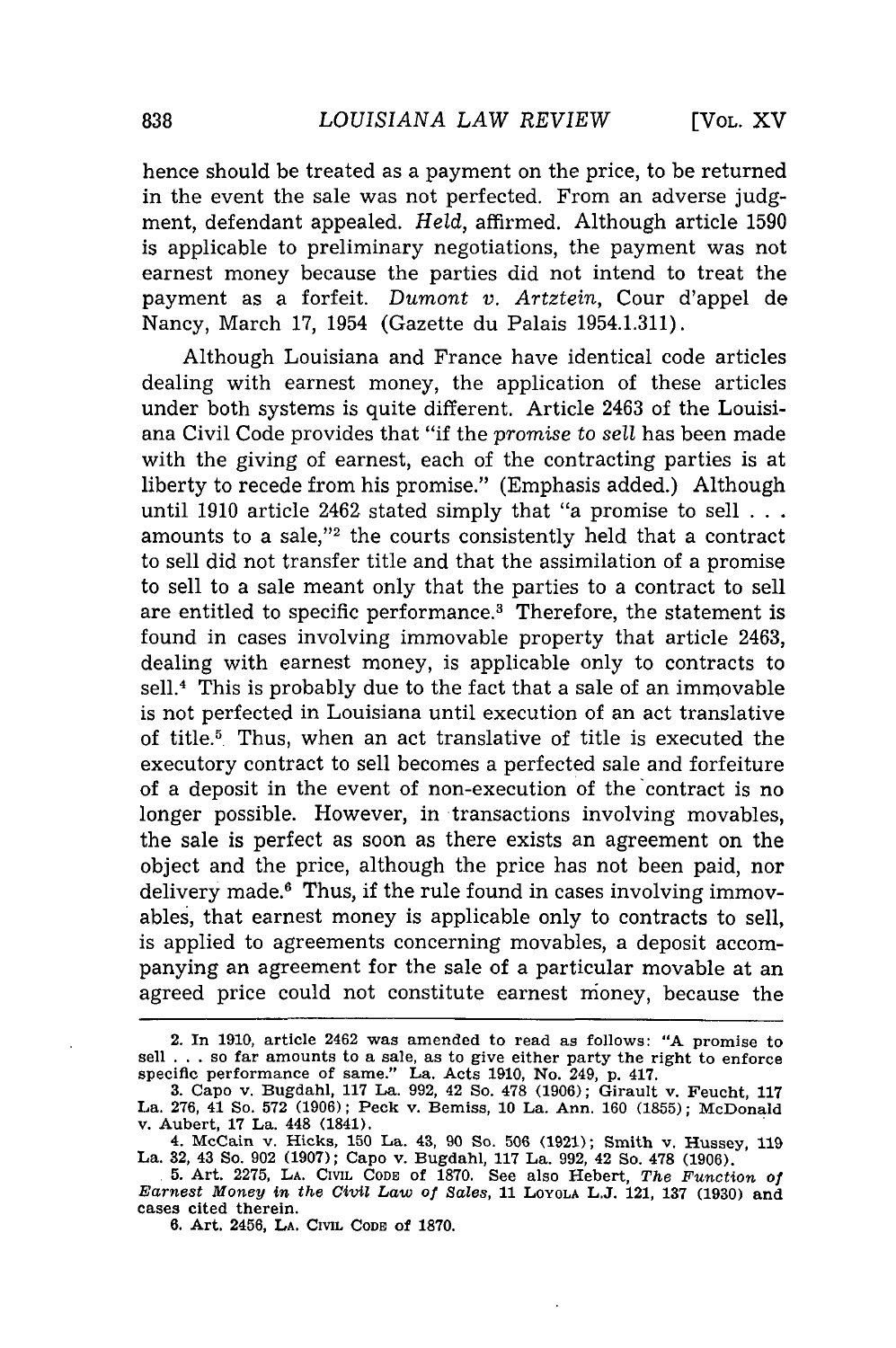[VOL. XV

hence should be treated as a payment on the price, to be returned in the event the sale was not perfected. From an adverse judgment, defendant appealed. *Held,* affirmed. Although article 1590 is applicable to preliminary negotiations, the payment was not earnest money because the parties did not intend to treat the payment as a forfeit. *Dumont v. Artztein,* Cour d'appel de Nancy, March 17, 1954 (Gazette du Palais 1954.1.311).

Although Louisiana and France have identical code articles dealing with earnest money, the application of these articles under both systems is quite different. Article 2463 of the Louisiana Civil Code provides that "if the *promise* to *sell* has been made with the giving of earnest, each of the contracting parties is at liberty to recede from his promise." (Emphasis added.) Although until 1910 article 2462 stated simply that "a promise to sell **. . .** amounts to a sale,"<sup>2</sup> the courts consistently held that a contract to sell did not transfer title and that the assimilation of a promise to sell to a sale meant only that the parties to a contract to sell are entitled to specific performance.<sup>3</sup> Therefore, the statement is found in cases involving immovable property that article 2463, dealing with earnest money, is applicable only to contracts to sell.<sup>4</sup> This is probably due to the fact that a sale of an immovable is not perfected in Louisiana until execution of an act translative of title.5 Thus, when an act translative of title is executed the executory contract to sell becomes a perfected sale and forfeiture of a deposit in the event of non-execution of the'contract is no longer possible. However, in transactions involving movables, the sale is perfect as soon as there exists an agreement on the object and the price, although the price has not been paid, nor delivery made." Thus, if the rule found in cases involving immovables, that earnest money is applicable only to contracts to sell, is applied to agreements concerning movables, a deposit accompanying an agreement for the sale of a particular movable at an agreed price could not constitute earnest money, because the

**<sup>2.</sup> In 1910,** article 2462 **was** amended to read as follows: **"A** promise to sell . . . so far amounts to a sale, as to give either party the right to enforce

specific performance of same." La. Acts 1910, No. 249, p. 417.<br>3. Capo v. Bugdahl, 117 La. 992, 42 So. 478 (1906); Girault v. Feucht, 117<br>La. 276, 41 So. 572 (1906); Peck v. Bemiss, 10 La. Ann. 160 (1855); McDonald v. Aubert, **17 La.** 448 **(1841).**

<sup>4.</sup> McCain v. Hicks, 150 La. 43, 90 So. 506 (1921); Smith v. Hussey, 119 La. 32, 43 So. 902 (1907); Capo v. Bugdahl, 117 La. 992, 42 So. 478 (1906).<br>5. Art. 2275, La. Civil Cops of 1870. See also Hebert, The Function of

*Earnest Money in the Civil Law of Sales,* **11 LOYOLA L.J.** 121, **137 (1930) and** cases cited therein.

**<sup>6.</sup>** Art. 2456, **LA. CIvIL CODE** of **1870.**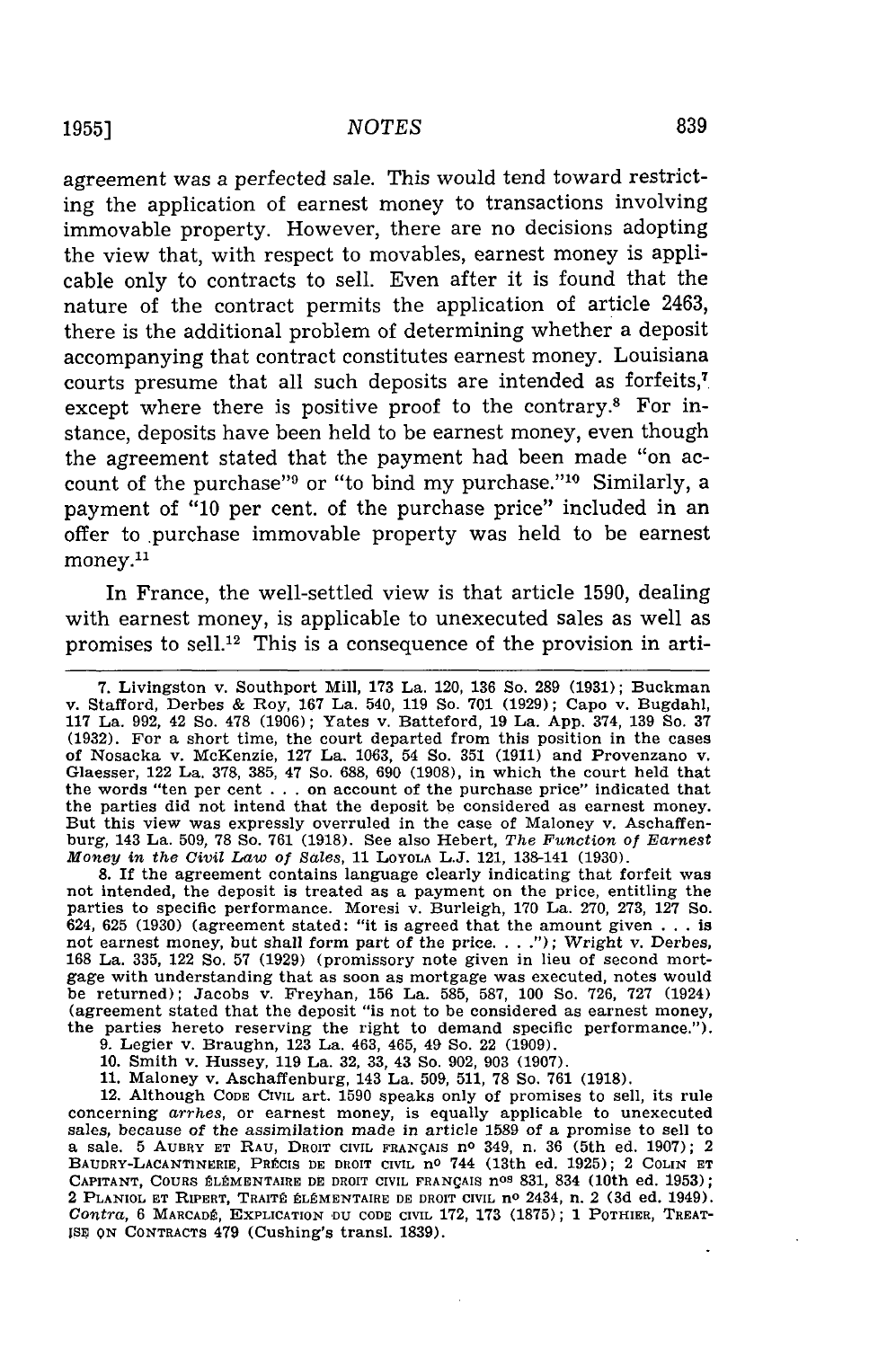agreement was a perfected sale. This would tend toward restricting the application of earnest money to transactions involving immovable property. However, there are no decisions adopting the view that, with respect to movables, earnest money is applicable only to contracts to sell. Even after it is found that the nature of the contract permits the application of article 2463, there is the additional problem of determining whether a deposit accompanying that contract constitutes earnest money. Louisiana courts presume that all such deposits are intended as forfeits,<sup>7</sup> except where there is positive proof to the contrary.8 For instance, deposits have been held to be earnest money, even though the agreement stated that the payment had been made "on account of the purchase"<sup>9</sup> or "to bind my purchase."<sup>10</sup> Similarly, a payment of "10 per cent. of the purchase price" included in an offer to purchase immovable property was held to be earnest money.<sup>11</sup>

In France, the well-settled view is that article 1590, dealing with earnest money, is applicable to unexecuted sales as well as promises to sell.12 This is a consequence of the provision in arti-

7. Livingston v. Southport Mill, 173 La. 120, 136 So. 289 (1931); Buckman v. Stafford, Derbes & Roy, 167 La. 540, 119 So. 701 (1929); Capo v. Bugdahl, 117 La. 992, 42 So. 478 (1906); Yates v. Batteford, 19 La. App. 374, 139 So. 37 (1932). For a short time, the court departed from this position in the cases of Nosacka v. McKenzie, 127 La. 1063, 54 So. 351 (1911) and Provenzano v. Glaesser, 122 La. 378, 385, 47 So. 688, 690 (1908), in which the court held that the words "ten per cent . **.** . on account of the purchase price" indicated that the parties did not intend that the deposit be considered as earnest money. But this view was expressly overruled in the case of Maloney v. Aschaffenburg, 143 La. 509, 78 So. 761 (1918). See also Hebert, *The Function of Earnest Money in the Civil Law of Sales,* 11 LOYOLA L.J. 121, 138-141 (1930).

8. If the agreement contains language clearly indicating that forfeit was<br>not intended, the deposit is treated as a payment on the price, entitling the<br>parties to specific performance. Moresi v. Burleigh, 170 La. 270, 273, 624, 625 (1930) (agreement stated: "it is agreed that the amount given . . . is not earnest money, but shall form part of the price. . . ."); Wright v. Derbes 168 La. 335, 122 So. 57 (1929) (promissory note given in lieu of second mort-gage with understanding that as soon as mortgage was executed, notes would be returned); Jacobs v. Freyhan, 156 La. 585, 587, 100 So. 726, 727 (1924) (agreement stated that the deposit "is not to be considered as earnest money, the parties hereto reserving the right to demand specific performance."). 9. Legier v. Braughn, 123 La. 463, 465, 49 So. 22 (1909).

10. Smith v. Hussey, 119 La. 32, 33, 43 So. 902, 903 (1907).

11. Maloney v. Aschaffenburg, 143 La. 509, 511, 78 So. 761 (1918).

12. Although **CODE** CIVIL art. 1590 speaks only of promises to sell, its rule concerning *arrhes,* or earnest money, is equally applicable to unexecuted sales, because of the assimilation made in article 1589 of a promise to sell to a sale. 5 Aubry et Rau, Droit civil français n<sup>o</sup> 349, n. 36 (5th ed. 1907); 2<br>Baudry-Lacantinerie, Précis de droit civil n<sup>o</sup> 744 (13th ed. 1925); 2 Colin et CAPITANT, COURS ÉLÉMENTAIRE DE DROIT CIVIL FRANÇAIS n<sup>os</sup> 831, 834 (10th ed. 1953); 2 **PLANIOL ET** RIPERT, TRAIT2 **ftL]MENTAIRE DE** DROIT **CIVIL** no 2434, n. 2 (3d ed. 1949). Contra, 6 MARCADÉ, EXPLICATION DU CODE CIVIL 172, 173 (1875); 1 POTHIER, TREAT-**ISE ON CONTRACTS** 479 (Cushing's transl. 1839).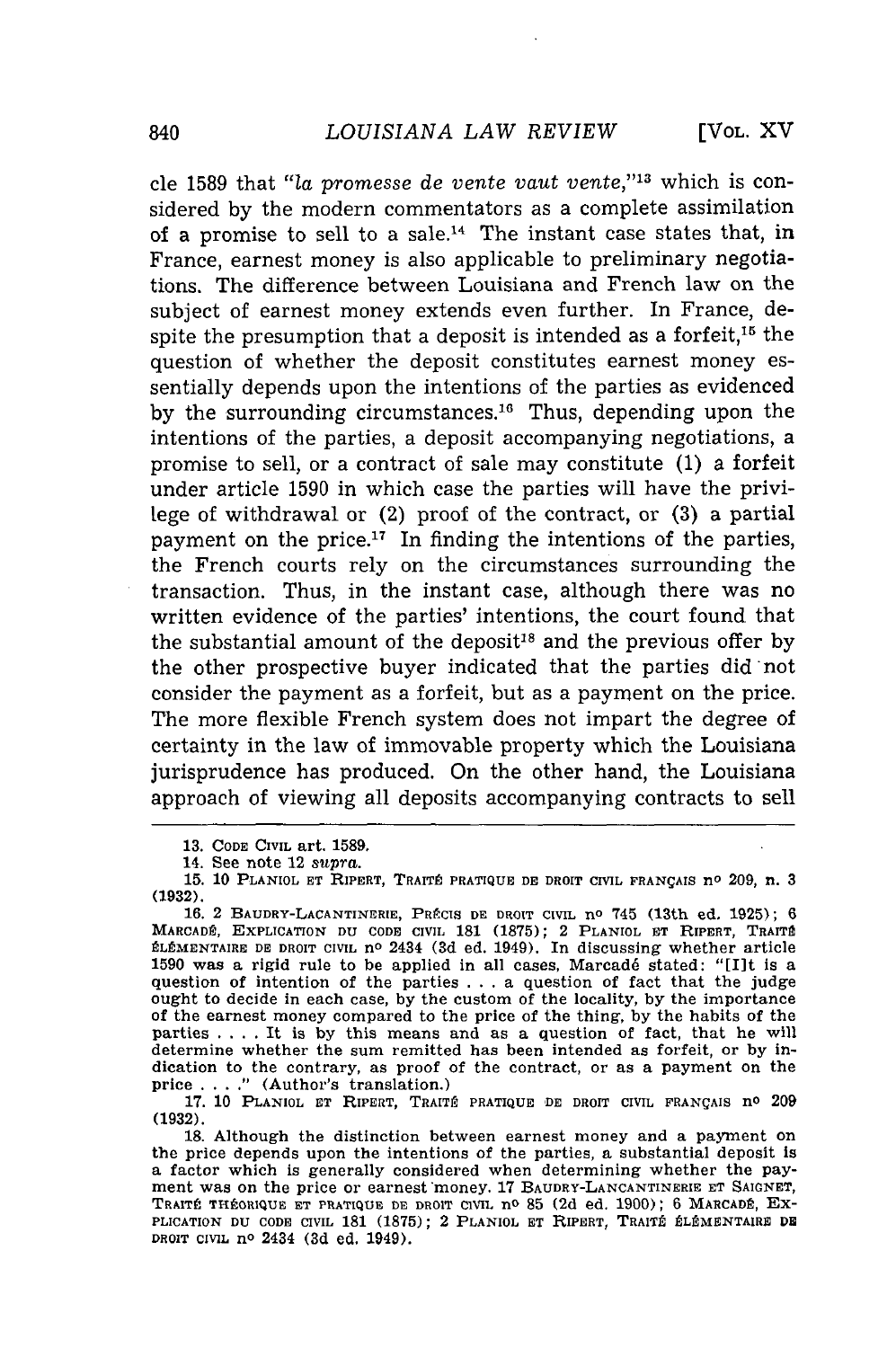cle 1589 that *la promesse de vente vaut vente,"'13* which is considered by the modern commentators as a complete assimilation of a promise to sell to a sale.14 The instant case states that, in France, earnest money is also applicable to preliminary negotiations. The difference between Louisiana and French law on the subject of earnest money extends even further. In France, despite the presumption that a deposit is intended as a forfeit,<sup>15</sup> the question of whether the deposit constitutes earnest money essentially depends upon the intentions of the parties as evidenced by the surrounding circumstances.16 Thus, depending upon the intentions of the parties, a deposit accompanying negotiations, a promise to sell, or a contract of sale may constitute (1) a forfeit under article 1590 in which case the parties will have the privilege of withdrawal or (2) proof of the contract, or (3) a partial payment on the price." In finding the intentions of the parties, the French courts rely on the circumstances surrounding the transaction. Thus, in the instant case, although there was no written evidence of the parties' intentions, the court found that the substantial amount of the deposit<sup>18</sup> and the previous offer by the other prospective buyer indicated that the parties did not consider the payment as a forfeit, but as a payment on the price. The more flexible French system does not impart the degree of certainty in the law of immovable property which the Louisiana jurisprudence has produced. On the other hand, the Louisiana approach of viewing all deposits accompanying contracts to sell

17. 10 PLANIOL ET RIPERT, TRAITÉ PRATIQUE DE DROIT CIVIL FRANÇAIS nº 209 (1932).

18. Although the distinction between earnest money and a payment on the price depends upon the intentions of the parties, a substantial deposit is a factor which is generally considered when determining whether the payment was on the price or earnest'money. **17 BAUDRY-LANCANTINERIE ET SAIGNET,** TRAITÉ THÉORIQUE ET PRATIQUE DE DROIT CIVIL nº 85 (2d ed. 1900); 6 MARCADÉ, EX-**PLICATION DU CODE** CIVIL 181 (1875); 2 PLANIOL **ET** RIPERT, TRAITI **ILI** MENTAIRS **DI DROIT CIVIL** no 2434 (3d ed. 1949).

**<sup>13.</sup> CODE CIVIL** art. **1589,**

<sup>14.</sup> **See** note 12 supra. **15. 10 PLANIOL ET** RiPERT, TRAIT9 **PRATIQUE DE DROIT CIVIL** FRANgAIS **no** 209, n. **<sup>3</sup>** (1932).

**<sup>16.</sup>** 2 BAUDRY-LACANTINERIE, **PRCTS DE** DROIT **CIVIL no** 745 (13th ed. 1925); 6 MARCADO, **EXPLICATION DU CODE** CIVIL 181 (1875); **2** PLANIOL ET **RIPERT,** TRAIT9 tL9MENTAIRE **DE** DROIT CIVIL **no 2434** (3d ed. 1949). In discussing whether article 1590 was a rigid rule to be applied in all cases, **Marcad6** stated: "[Ilt is a question of intention of the parties . . . a question of fact that the judge ought to decide in each **case, by** the custom of the locality, **by** the importance of the earnest money compared to the price of the thing, **by** the habits of the parties .**. .** .It is **by** this means and as a question of **fact,** that he will determine whether the sum remitted has been intended as forfeit, or by in dication to the contrary, as proof of the contract, or as a payment on the price **.... ."** (Author's translation.)